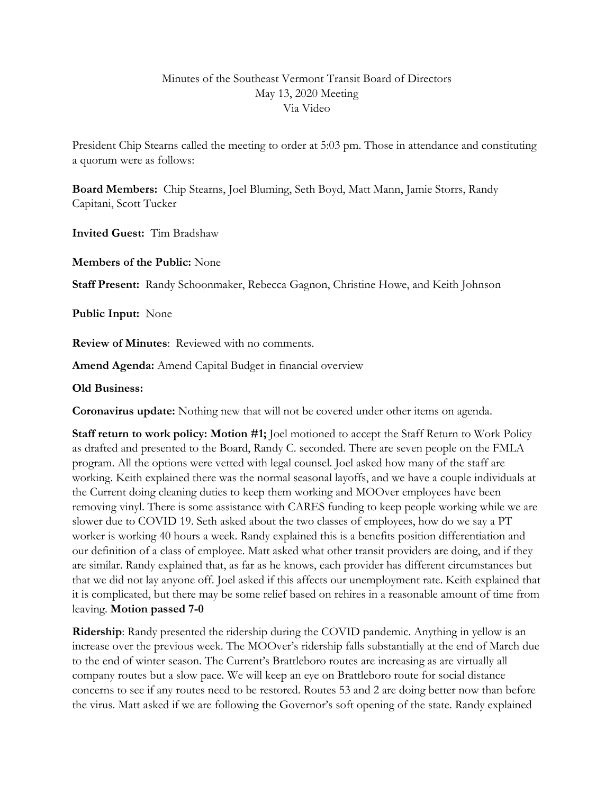## Minutes of the Southeast Vermont Transit Board of Directors May 13, 2020 Meeting Via Video

President Chip Stearns called the meeting to order at 5:03 pm. Those in attendance and constituting a quorum were as follows:

**Board Members:** Chip Stearns, Joel Bluming, Seth Boyd, Matt Mann, Jamie Storrs, Randy Capitani, Scott Tucker

**Invited Guest:** Tim Bradshaw

**Members of the Public:** None

**Staff Present:** Randy Schoonmaker, Rebecca Gagnon, Christine Howe, and Keith Johnson

**Public Input:** None

**Review of Minutes**: Reviewed with no comments.

**Amend Agenda:** Amend Capital Budget in financial overview

#### **Old Business:**

**Coronavirus update:** Nothing new that will not be covered under other items on agenda.

**Staff return to work policy: Motion #1;** Joel motioned to accept the Staff Return to Work Policy as drafted and presented to the Board, Randy C. seconded. There are seven people on the FMLA program. All the options were vetted with legal counsel. Joel asked how many of the staff are working. Keith explained there was the normal seasonal layoffs, and we have a couple individuals at the Current doing cleaning duties to keep them working and MOOver employees have been removing vinyl. There is some assistance with CARES funding to keep people working while we are slower due to COVID 19. Seth asked about the two classes of employees, how do we say a PT worker is working 40 hours a week. Randy explained this is a benefits position differentiation and our definition of a class of employee. Matt asked what other transit providers are doing, and if they are similar. Randy explained that, as far as he knows, each provider has different circumstances but that we did not lay anyone off. Joel asked if this affects our unemployment rate. Keith explained that it is complicated, but there may be some relief based on rehires in a reasonable amount of time from leaving. **Motion passed 7-0**

**Ridership**: Randy presented the ridership during the COVID pandemic. Anything in yellow is an increase over the previous week. The MOOver's ridership falls substantially at the end of March due to the end of winter season. The Current's Brattleboro routes are increasing as are virtually all company routes but a slow pace. We will keep an eye on Brattleboro route for social distance concerns to see if any routes need to be restored. Routes 53 and 2 are doing better now than before the virus. Matt asked if we are following the Governor's soft opening of the state. Randy explained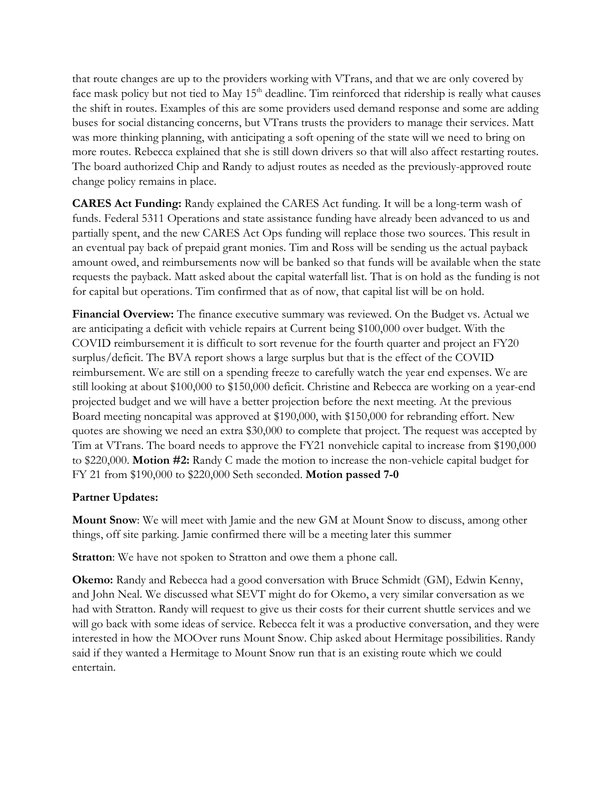that route changes are up to the providers working with VTrans, and that we are only covered by face mask policy but not tied to May 15<sup>th</sup> deadline. Tim reinforced that ridership is really what causes the shift in routes. Examples of this are some providers used demand response and some are adding buses for social distancing concerns, but VTrans trusts the providers to manage their services. Matt was more thinking planning, with anticipating a soft opening of the state will we need to bring on more routes. Rebecca explained that she is still down drivers so that will also affect restarting routes. The board authorized Chip and Randy to adjust routes as needed as the previously-approved route change policy remains in place.

**CARES Act Funding:** Randy explained the CARES Act funding. It will be a long-term wash of funds. Federal 5311 Operations and state assistance funding have already been advanced to us and partially spent, and the new CARES Act Ops funding will replace those two sources. This result in an eventual pay back of prepaid grant monies. Tim and Ross will be sending us the actual payback amount owed, and reimbursements now will be banked so that funds will be available when the state requests the payback. Matt asked about the capital waterfall list. That is on hold as the funding is not for capital but operations. Tim confirmed that as of now, that capital list will be on hold.

**Financial Overview:** The finance executive summary was reviewed. On the Budget vs. Actual we are anticipating a deficit with vehicle repairs at Current being \$100,000 over budget. With the COVID reimbursement it is difficult to sort revenue for the fourth quarter and project an FY20 surplus/deficit. The BVA report shows a large surplus but that is the effect of the COVID reimbursement. We are still on a spending freeze to carefully watch the year end expenses. We are still looking at about \$100,000 to \$150,000 deficit. Christine and Rebecca are working on a year-end projected budget and we will have a better projection before the next meeting. At the previous Board meeting noncapital was approved at \$190,000, with \$150,000 for rebranding effort. New quotes are showing we need an extra \$30,000 to complete that project. The request was accepted by Tim at VTrans. The board needs to approve the FY21 nonvehicle capital to increase from \$190,000 to \$220,000. **Motion #2:** Randy C made the motion to increase the non-vehicle capital budget for FY 21 from \$190,000 to \$220,000 Seth seconded. **Motion passed 7-0**

# **Partner Updates:**

**Mount Snow**: We will meet with Jamie and the new GM at Mount Snow to discuss, among other things, off site parking. Jamie confirmed there will be a meeting later this summer

**Stratton**: We have not spoken to Stratton and owe them a phone call.

**Okemo:** Randy and Rebecca had a good conversation with Bruce Schmidt (GM), Edwin Kenny, and John Neal. We discussed what SEVT might do for Okemo, a very similar conversation as we had with Stratton. Randy will request to give us their costs for their current shuttle services and we will go back with some ideas of service. Rebecca felt it was a productive conversation, and they were interested in how the MOOver runs Mount Snow. Chip asked about Hermitage possibilities. Randy said if they wanted a Hermitage to Mount Snow run that is an existing route which we could entertain.